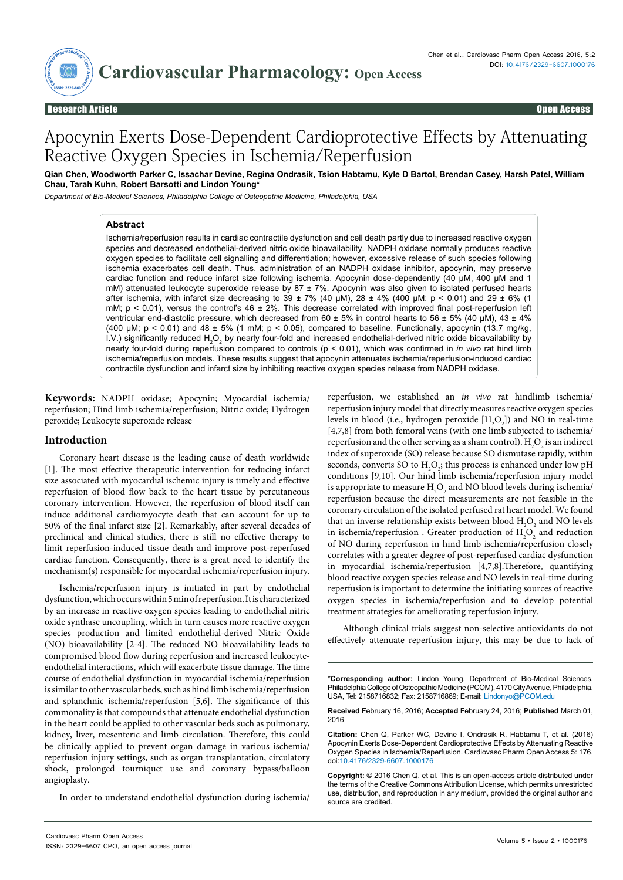

Open Access

# Apocynin Exerts Dose-Dependent Cardioprotective Effects by Attenuating Reactive Oxygen Species in Ischemia/Reperfusion

**Qian Chen, Woodworth Parker C, Issachar Devine, Regina Ondrasik, Tsion Habtamu, Kyle D Bartol, Brendan Casey, Harsh Patel, William Chau, Tarah Kuhn, Robert Barsotti and Lindon Young\***

*Department of Bio-Medical Sciences, Philadelphia College of Osteopathic Medicine, Philadelphia, USA*

## **Abstract**

Ischemia/reperfusion results in cardiac contractile dysfunction and cell death partly due to increased reactive oxygen species and decreased endothelial-derived nitric oxide bioavailability. NADPH oxidase normally produces reactive oxygen species to facilitate cell signalling and differentiation; however, excessive release of such species following ischemia exacerbates cell death. Thus, administration of an NADPH oxidase inhibitor, apocynin, may preserve cardiac function and reduce infarct size following ischemia. Apocynin dose-dependently (40 μM, 400 μM and 1 mM) attenuated leukocyte superoxide release by 87 ± 7%. Apocynin was also given to isolated perfused hearts after ischemia, with infarct size decreasing to 39 ± 7% (40 µM), 28 ± 4% (400 µM; p < 0.01) and 29 ± 6% (1 mM;  $p \le 0.01$ ), versus the control's 46  $\pm 2\%$ . This decrease correlated with improved final post-reperfusion left ventricular end-diastolic pressure, which decreased from 60  $\pm$  5% in control hearts to 56  $\pm$  5% (40 µM), 43  $\pm$  4% (400 μM;  $p < 0.01$ ) and 48  $\pm$  5% (1 mM;  $p < 0.05$ ), compared to baseline. Functionally, apocynin (13.7 mg/kg, I.V.) significantly reduced H<sub>2</sub>O<sub>2</sub> by nearly four-fold and increased endothelial-derived nitric oxide bioavailability by nearly four-fold during reperfusion compared to controls (p < 0.01), which was confirmed in *in vivo* rat hind limb ischemia/reperfusion models. These results suggest that apocynin attenuates ischemia/reperfusion-induced cardiac contractile dysfunction and infarct size by inhibiting reactive oxygen species release from NADPH oxidase.

**Keywords:** NADPH oxidase; Apocynin; Myocardial ischemia/ reperfusion; Hind limb ischemia/reperfusion; Nitric oxide; Hydrogen peroxide; Leukocyte superoxide release

#### **Introduction**

Coronary heart disease is the leading cause of death worldwide [1]. The most effective therapeutic intervention for reducing infarct size associated with myocardial ischemic injury is timely and effective reperfusion of blood flow back to the heart tissue by percutaneous coronary intervention. However, the reperfusion of blood itself can induce additional cardiomyocyte death that can account for up to 50% of the final infarct size [2]. Remarkably, after several decades of preclinical and clinical studies, there is still no effective therapy to limit reperfusion-induced tissue death and improve post-reperfused cardiac function. Consequently, there is a great need to identify the mechanism(s) responsible for myocardial ischemia/reperfusion injury.

Ischemia/reperfusion injury is initiated in part by endothelial dysfunction, which occurs within 5 min of reperfusion. It is characterized by an increase in reactive oxygen species leading to endothelial nitric oxide synthase uncoupling, which in turn causes more reactive oxygen species production and limited endothelial-derived Nitric Oxide (NO) bioavailability [2-4]. The reduced NO bioavailability leads to compromised blood flow during reperfusion and increased leukocyteendothelial interactions, which will exacerbate tissue damage. The time course of endothelial dysfunction in myocardial ischemia/reperfusion is similar to other vascular beds, such as hind limb ischemia/reperfusion and splanchnic ischemia/reperfusion [5,6]. The significance of this commonality is that compounds that attenuate endothelial dysfunction in the heart could be applied to other vascular beds such as pulmonary, kidney, liver, mesenteric and limb circulation. Therefore, this could be clinically applied to prevent organ damage in various ischemia/ reperfusion injury settings, such as organ transplantation, circulatory shock, prolonged tourniquet use and coronary bypass/balloon angioplasty.

In order to understand endothelial dysfunction during ischemia/

reperfusion, we established an *in vivo* rat hindlimb ischemia/ reperfusion injury model that directly measures reactive oxygen species levels in blood (i.e., hydrogen peroxide  $[H_2O_2]$ ) and NO in real-time [4,7,8] from both femoral veins (with one limb subjected to ischemia/ reperfusion and the other serving as a sham control).  $\rm H_2O_2$  is an indirect index of superoxide (SO) release because SO dismutase rapidly, within seconds, converts SO to  $H_2O_2$ ; this process is enhanced under low pH conditions [9,10]. Our hind limb ischemia/reperfusion injury model is appropriate to measure  $\mathrm{H}_{2}\mathrm{O}_{2}$  and NO blood levels during ischemia/ reperfusion because the direct measurements are not feasible in the coronary circulation of the isolated perfused rat heart model. We found that an inverse relationship exists between blood  $H_2O_2$  and NO levels in ischemia/reperfusion . Greater production of  $\mathrm{H}_{2}\mathrm{O}_{2}$  and reduction of NO during reperfusion in hind limb ischemia/reperfusion closely correlates with a greater degree of post-reperfused cardiac dysfunction in myocardial ischemia/reperfusion [4,7,8].Therefore, quantifying blood reactive oxygen species release and NO levels in real-time during reperfusion is important to determine the initiating sources of reactive oxygen species in ischemia/reperfusion and to develop potential treatment strategies for ameliorating reperfusion injury.

Although clinical trials suggest non-selective antioxidants do not effectively attenuate reperfusion injury, this may be due to lack of

**\*Corresponding author:** Lindon Young, Department of Bio-Medical Sciences, Philadelphia College of Osteopathic Medicine (PCOM), 4170 City Avenue, Philadelphia, USA, Tel: 2158716832; Fax: 2158716869; E-mail: Lindonyo@PCOM.edu

**Received** February 16, 2016; **Accepted** February 24, 2016; **Published** March 01, 2016

**Citation:** Chen Q, Parker WC, Devine I, Ondrasik R, Habtamu T, et al. (2016) Apocynin Exerts Dose-Dependent Cardioprotective Effects by Attenuating Reactive Oxygen Species in Ischemia/Reperfusion. Cardiovasc Pharm Open Access 5: 176. doi:10.4176/2329-6607.1000176

**Copyright:** © 2016 Chen Q, et al. This is an open-access article distributed under the terms of the Creative Commons Attribution License, which permits unrestricted use, distribution, and reproduction in any medium, provided the original author and source are credited.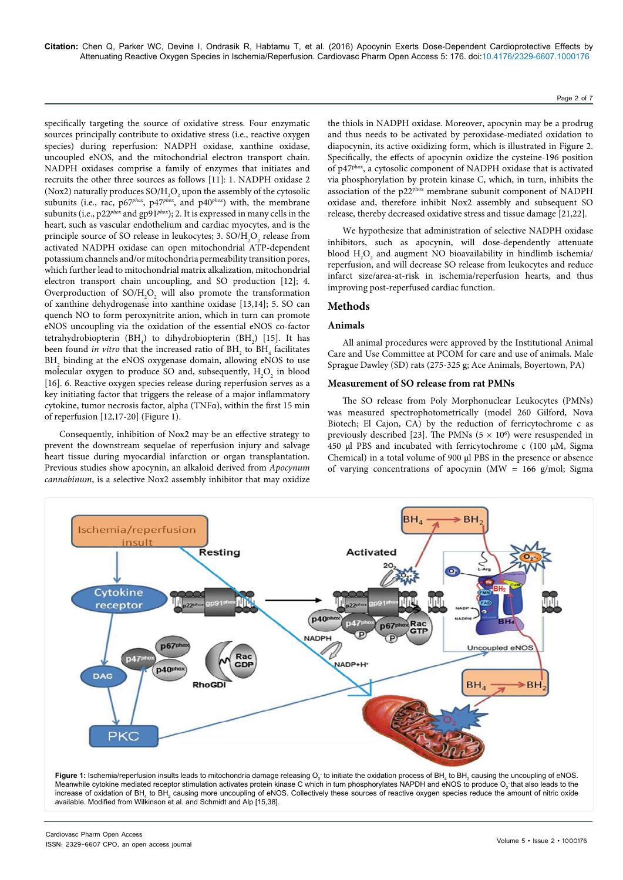specifically targeting the source of oxidative stress. Four enzymatic sources principally contribute to oxidative stress (i.e., reactive oxygen species) during reperfusion: NADPH oxidase, xanthine oxidase, uncoupled eNOS, and the mitochondrial electron transport chain. NADPH oxidases comprise a family of enzymes that initiates and recruits the other three sources as follows [11]: 1. NADPH oxidase 2 (Nox2) naturally produces SO/H<sub>2</sub>O<sub>2</sub> upon the assembly of the cytosolic subunits (i.e., rac, p67*phox*, p47*phox*, and p40*phox*) with, the membrane subunits (i.e., p22*phox* and gp91*phox*); 2. It is expressed in many cells in the heart, such as vascular endothelium and cardiac myocytes, and is the principle source of SO release in leukocytes; 3.  $\text{SO/H}_2\text{O}_2$  release from activated NADPH oxidase can open mitochondrial ATP-dependent potassium channels and/or mitochondria permeability transition pores, which further lead to mitochondrial matrix alkalization, mitochondrial electron transport chain uncoupling, and SO production [12]; 4. Overproduction of  $SO/H_2O_2$  will also promote the transformation of xanthine dehydrogenase into xanthine oxidase [13,14]; 5. SO can quench NO to form peroxynitrite anion, which in turn can promote eNOS uncoupling via the oxidation of the essential eNOS co-factor tetrahydrobiopterin (BH<sub>4</sub>) to dihydrobiopterin (BH<sub>2</sub>) [15]. It has been found *in vitro* that the increased ratio of  $\text{BH}_2$  to  $\text{BH}_4$  facilitates  $\texttt{BH}_{\texttt{2}}$  binding at the eNOS oxygenase domain, allowing eNOS to use molecular oxygen to produce SO and, subsequently,  $H_2O_2$  in blood [16]. 6. Reactive oxygen species release during reperfusion serves as a key initiating factor that triggers the release of a major inflammatory cytokine, tumor necrosis factor, alpha (TNFα), within the first 15 min of reperfusion [12,17-20] (Figure 1).

Consequently, inhibition of Nox2 may be an effective strategy to prevent the downstream sequelae of reperfusion injury and salvage heart tissue during myocardial infarction or organ transplantation. Previous studies show apocynin, an alkaloid derived from *Apocynum cannabinum*, is a selective Nox2 assembly inhibitor that may oxidize

Cardiovasc Pharm Open Access

ISSN: 2329-6607 CPO, an open access journal

the thiols in NADPH oxidase. Moreover, apocynin may be a prodrug and thus needs to be activated by peroxidase-mediated oxidation to diapocynin, its active oxidizing form, which is illustrated in Figure 2. Specifically, the effects of apocynin oxidize the cysteine-196 position of p47phox, a cytosolic component of NADPH oxidase that is activated via phosphorylation by protein kinase C, which, in turn, inhibits the association of the p22phox membrane subunit component of NADPH oxidase and, therefore inhibit Nox2 assembly and subsequent SO release, thereby decreased oxidative stress and tissue damage [21,22].

We hypothesize that administration of selective NADPH oxidase inhibitors, such as apocynin, will dose-dependently attenuate blood  $H_2O_2$  and augment NO bioavailability in hindlimb ischemia/ reperfusion, and will decrease SO release from leukocytes and reduce infarct size/area-at-risk in ischemia/reperfusion hearts, and thus improving post-reperfused cardiac function.

### **Methods**

#### **Animals**

All animal procedures were approved by the Institutional Animal Care and Use Committee at PCOM for care and use of animals. Male Sprague Dawley (SD) rats (275-325 g; Ace Animals, Boyertown, PA)

### **Measurement of SO release from rat PMNs**

The SO release from Poly Morphonuclear Leukocytes (PMNs) was measured spectrophotometrically (model 260 Gilford, Nova Biotech; El Cajon, CA) by the reduction of ferricytochrome c as previously described [23]. The PMNs  $(5 \times 10^6)$  were resuspended in 450 μl PBS and incubated with ferricytochrome c (100 µM, Sigma Chemical) in a total volume of 900 μl PBS in the presence or absence of varying concentrations of apocynin (MW =  $166$  g/mol; Sigma



Page 2 of 7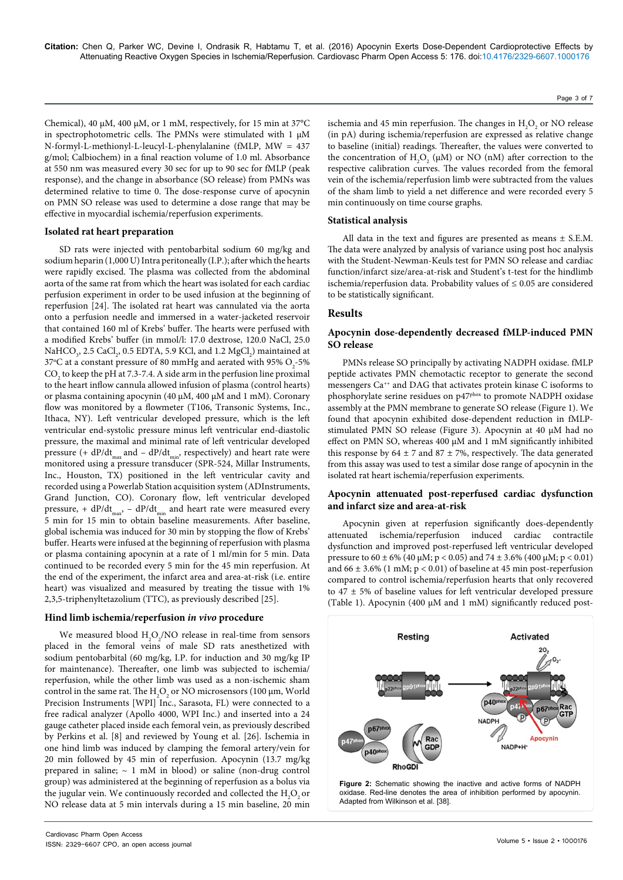Chemical), 40  $\mu$ M, 400  $\mu$ M, or 1 mM, respectively, for 15 min at 37°C in spectrophotometric cells. The PMNs were stimulated with 1 μM N-formyl-L-methionyl-L-leucyl-L-phenylalanine (fMLP, MW = 437 g/mol; Calbiochem) in a final reaction volume of 1.0 ml. Absorbance at 550 nm was measured every 30 sec for up to 90 sec for fMLP (peak response), and the change in absorbance (SO release) from PMNs was determined relative to time 0. The dose-response curve of apocynin on PMN SO release was used to determine a dose range that may be effective in myocardial ischemia/reperfusion experiments.

#### **Isolated rat heart preparation**

SD rats were injected with pentobarbital sodium 60 mg/kg and sodium heparin (1,000 U) Intra peritoneally (I.P.); after which the hearts were rapidly excised. The plasma was collected from the abdominal aorta of the same rat from which the heart was isolated for each cardiac perfusion experiment in order to be used infusion at the beginning of reperfusion [24]. The isolated rat heart was cannulated via the aorta onto a perfusion needle and immersed in a water-jacketed reservoir that contained 160 ml of Krebs' buffer. The hearts were perfused with a modified Krebs' buffer (in mmol/l: 17.0 dextrose, 120.0 NaCl, 25.0 NaHCO<sub>3</sub>, 2.5 CaCl<sub>2</sub>, 0.5 EDTA, 5.9 KCl, and 1.2 MgCl<sub>2</sub>) maintained at 37°C at a constant pressure of 80 mmHg and aerated with 95%  $\mathrm{O}_2$ -5%  $\mathrm{CO}_2$  to keep the pH at 7.3-7.4. A side arm in the perfusion line proximal to the heart inflow cannula allowed infusion of plasma (control hearts) or plasma containing apocynin (40 µM, 400 µM and 1 mM). Coronary flow was monitored by a flowmeter (T106, Transonic Systems, Inc., Ithaca, NY). Left ventricular developed pressure, which is the left ventricular end-systolic pressure minus left ventricular end-diastolic pressure, the maximal and minimal rate of left ventricular developed pressure (+  $dP/dt_{max}$  and –  $dP/dt_{min}$ , respectively) and heart rate were monitored using a pressure transducer (SPR-524, Millar Instruments, Inc., Houston, TX) positioned in the left ventricular cavity and recorded using a Powerlab Station acquisition system (ADInstruments, Grand Junction, CO). Coronary flow, left ventricular developed pressure, +  $dP/dt_{max}$ , -  $dP/dt_{min}$  and heart rate were measured every 5 min for 15 min to obtain baseline measurements. After baseline, global ischemia was induced for 30 min by stopping the flow of Krebs' buffer. Hearts were infused at the beginning of reperfusion with plasma or plasma containing apocynin at a rate of 1 ml/min for 5 min. Data continued to be recorded every 5 min for the 45 min reperfusion. At the end of the experiment, the infarct area and area-at-risk (i.e. entire heart) was visualized and measured by treating the tissue with 1% 2,3,5-triphenyltetazolium (TTC), as previously described [25].

#### **Hind limb ischemia/reperfusion** *in vivo* **procedure**

We measured blood  $\text{H}_{2}\text{O}_{2}/\text{NO}$  release in real-time from sensors placed in the femoral veins of male SD rats anesthetized with sodium pentobarbital (60 mg/kg, I.P. for induction and 30 mg/kg IP for maintenance). Thereafter, one limb was subjected to ischemia/ reperfusion, while the other limb was used as a non-ischemic sham control in the same rat. The  $\rm H_2O_2$  or NO microsensors (100  $\rm \mu m,$  World Precision Instruments [WPI] Inc., Sarasota, FL) were connected to a free radical analyzer (Apollo 4000, WPI Inc.) and inserted into a 24 gauge catheter placed inside each femoral vein, as previously described by Perkins et al. [8] and reviewed by Young et al. [26]. Ischemia in one hind limb was induced by clamping the femoral artery/vein for 20 min followed by 45 min of reperfusion. Apocynin (13.7 mg/kg prepared in saline;  $\sim 1$  mM in blood) or saline (non-drug control group) was administered at the beginning of reperfusion as a bolus via the jugular vein. We continuously recorded and collected the  $\rm H_2O_2$  or NO release data at 5 min intervals during a 15 min baseline, 20 min

ischemia and 45 min reperfusion. The changes in  $H_2O_2$  or NO release (in pA) during ischemia/reperfusion are expressed as relative change to baseline (initial) readings. Thereafter, the values were converted to the concentration of  $H_2O_2$  ( $\mu$ M) or NO (nM) after correction to the respective calibration curves. The values recorded from the femoral vein of the ischemia/reperfusion limb were subtracted from the values of the sham limb to yield a net difference and were recorded every 5 min continuously on time course graphs.

### **Statistical analysis**

All data in the text and figures are presented as means  $\pm$  S.E.M. The data were analyzed by analysis of variance using post hoc analysis with the Student-Newman-Keuls test for PMN SO release and cardiac function/infarct size/area-at-risk and Student's t-test for the hindlimb ischemia/reperfusion data. Probability values of  $\leq 0.05$  are considered to be statistically significant.

## **Results**

## **Apocynin dose-dependently decreased fMLP-induced PMN SO release**

PMNs release SO principally by activating NADPH oxidase. fMLP peptide activates PMN chemotactic receptor to generate the second messengers Ca<sup>++</sup> and DAG that activates protein kinase C isoforms to phosphorylate serine residues on p47<sup>phox</sup> to promote NADPH oxidase assembly at the PMN membrane to generate SO release (Figure 1). We found that apocynin exhibited dose-dependent reduction in fMLPstimulated PMN SO release (Figure 3). Apocynin at 40 μM had no effect on PMN SO, whereas 400 μM and 1 mM significantly inhibited this response by  $64 \pm 7$  and  $87 \pm 7$ %, respectively. The data generated from this assay was used to test a similar dose range of apocynin in the isolated rat heart ischemia/reperfusion experiments.

### **Apocynin attenuated post-reperfused cardiac dysfunction and infarct size and area-at-risk**

Apocynin given at reperfusion significantly does-dependently attenuated ischemia/reperfusion induced cardiac contractile dysfunction and improved post-reperfused left ventricular developed pressure to  $60 \pm 6\%$  (40  $\mu$ M; p < 0.05) and 74  $\pm$  3.6% (400  $\mu$ M; p < 0.01) and  $66 \pm 3.6\%$  (1 mM;  $p < 0.01$ ) of baseline at 45 min post-reperfusion compared to control ischemia/reperfusion hearts that only recovered to 47 ± 5% of baseline values for left ventricular developed pressure (Table 1). Apocynin (400 μM and 1 mM) significantly reduced post-



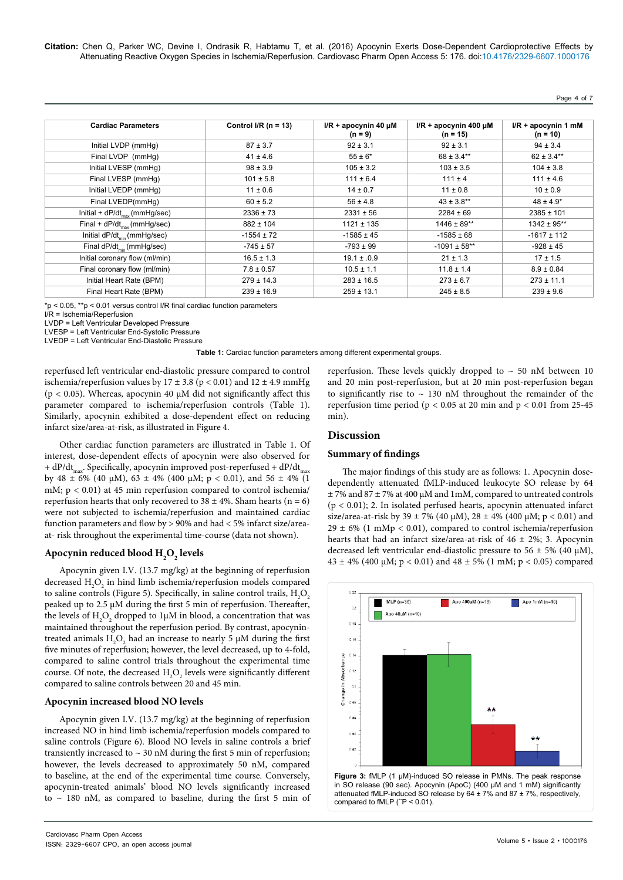**Citation:** Chen Q, Parker WC, Devine I, Ondrasik R, Habtamu T, et al. (2016) Apocynin Exerts Dose-Dependent Cardioprotective Effects by Attenuating Reactive Oxygen Species in Ischemia/Reperfusion. Cardiovasc Pharm Open Access 5: 176. doi:10.4176/2329-6607.1000176

Page 4 of 7

| <b>Cardiac Parameters</b>               | Control I/R $(n = 13)$ | $I/R + a$ pocynin 40 µM<br>$(n = 9)$ | $I/R$ + apocynin 400 $\mu$ M<br>$(n = 15)$ | $I/R + apc$ ynin 1 mM<br>$(n = 10)$ |
|-----------------------------------------|------------------------|--------------------------------------|--------------------------------------------|-------------------------------------|
| Initial LVDP (mmHq)                     | $87 \pm 3.7$           | $92 \pm 3.1$                         | $92 \pm 3.1$                               | $94 \pm 3.4$                        |
| Final LVDP (mmHg)                       | $41 \pm 4.6$           | $55 \pm 6^*$                         | $68 \pm 3.4***$                            | $62 \pm 3.4***$                     |
| Initial LVESP (mmHq)                    | $98 \pm 3.9$           | $105 \pm 3.2$                        | $103 \pm 3.5$                              | $104 \pm 3.8$                       |
| Final LVESP (mmHg)                      | $101 \pm 5.8$          | $111 \pm 6.4$                        | $111 \pm 4$                                | $111 \pm 4.6$                       |
| Initial LVEDP (mmHg)                    | $11 \pm 0.6$           | $14 \pm 0.7$                         | $11 \pm 0.8$                               | $10 \pm 0.9$                        |
| Final LVEDP(mmHq)                       | $60 \pm 5.2$           | $56 \pm 4.8$                         | $43 \pm 3.8***$                            | $48 \pm 4.9^*$                      |
| Initial + $dP/dt_{max}$ (mmHg/sec)      | $2336 \pm 73$          | $2331 \pm 56$                        | $2284 \pm 69$                              | $2385 \pm 101$                      |
| Final + $dP/dt_{max}$ (mmHg/sec)        | $882 \pm 104$          | $1121 \pm 135$                       | $1446 \pm 89**$                            | $1342 \pm 95**$                     |
| Initial dP/dt <sub>min</sub> (mmHg/sec) | $-1554 \pm 72$         | $-1585 \pm 45$                       | $-1585 \pm 68$                             | $-1617 \pm 112$                     |
| Final dP/dt <sub>min</sub> (mmHg/sec)   | $-745 \pm 57$          | $-793 \pm 99$                        | $-1091 \pm 58**$                           | $-928 \pm 45$                       |
| Initial coronary flow (ml/min)          | $16.5 \pm 1.3$         | $19.1 \pm .0.9$                      | $21 \pm 1.3$                               | $17 \pm 1.5$                        |
| Final coronary flow (ml/min)            | $7.8 \pm 0.57$         | $10.5 \pm 1.1$                       | $11.8 \pm 1.4$                             | $8.9 \pm 0.84$                      |
| Initial Heart Rate (BPM)                | $279 \pm 14.3$         | $283 \pm 16.5$                       | $273 \pm 6.7$                              | $273 \pm 11.1$                      |
| Final Heart Rate (BPM)                  | $239 \pm 16.9$         | $259 \pm 13.1$                       | $245 \pm 8.5$                              | $239 \pm 9.6$                       |

\*p < 0.05, \*\*p < 0.01 versus control I/R final cardiac function parameters

I/R = Ischemia/Reperfusion

LVDP = Left Ventricular Developed Pressure

LVESP = Left Ventricular End-Systolic Pressure

LVEDP = Left Ventricular End-Diastolic Pressure

**Table 1:** Cardiac function parameters among different experimental groups.

reperfused left ventricular end-diastolic pressure compared to control ischemia/reperfusion values by  $17 \pm 3.8$  (p < 0.01) and  $12 \pm 4.9$  mmHg (p < 0.05). Whereas, apocynin 40 μM did not significantly affect this parameter compared to ischemia/reperfusion controls (Table 1). Similarly, apocynin exhibited a dose-dependent effect on reducing infarct size/area-at-risk, as illustrated in Figure 4.

Other cardiac function parameters are illustrated in Table 1. Of interest, dose-dependent effects of apocynin were also observed for + dP/dt<sub>max</sub>. Specifically, apocynin improved post-reperfused + dP/dt<sub>max</sub> by 48  $\pm$  6% (40 µM), 63  $\pm$  4% (400 µM; p < 0.01), and 56  $\pm$  4% (1 mM;  $p < 0.01$ ) at 45 min reperfusion compared to control ischemia/ reperfusion hearts that only recovered to  $38 \pm 4$ %. Sham hearts (n = 6) were not subjected to ischemia/reperfusion and maintained cardiac function parameters and flow by > 90% and had < 5% infarct size/areaat- risk throughout the experimental time-course (data not shown).

## **Apocynin reduced blood H2 O2 levels**

Apocynin given I.V. (13.7 mg/kg) at the beginning of reperfusion decreased  $\rm{H}_{2}\rm{O}_{2}$  in hind limb ischemia/reperfusion models compared to saline controls (Figure 5). Specifically, in saline control trails,  $\mathrm{H}_{2}\mathrm{O}_{2}$ peaked up to 2.5 μM during the first 5 min of reperfusion. Thereafter, the levels of  $\rm{H_2O_2}$  dropped to 1 $\rm{\upmu}M$  in blood, a concentration that was maintained throughout the reperfusion period. By contrast, apocynintreated animals  $\mathrm{H}_{2}\mathrm{O}_{2}$  had an increase to nearly 5  $\mu$ M during the first five minutes of reperfusion; however, the level decreased, up to 4-fold, compared to saline control trials throughout the experimental time course. Of note, the decreased  $H_2O_2$  levels were significantly different compared to saline controls between 20 and 45 min.

### **Apocynin increased blood NO levels**

Apocynin given I.V. (13.7 mg/kg) at the beginning of reperfusion increased NO in hind limb ischemia/reperfusion models compared to saline controls (Figure 6). Blood NO levels in saline controls a brief transiently increased to  $\sim$  30 nM during the first 5 min of reperfusion; however, the levels decreased to approximately 50 nM, compared to baseline, at the end of the experimental time course. Conversely, apocynin-treated animals' blood NO levels significantly increased to  $\sim$  180 nM, as compared to baseline, during the first 5 min of reperfusion. These levels quickly dropped to  $\sim$  50 nM between 10 and 20 min post-reperfusion, but at 20 min post-reperfusion began to significantly rise to  $\sim$  130 nM throughout the remainder of the reperfusion time period ( $p < 0.05$  at 20 min and  $p < 0.01$  from 25-45 min).

## **Discussion**

#### **Summary of findings**

The major findings of this study are as follows: 1. Apocynin dosedependently attenuated fMLP-induced leukocyte SO release by 64  $\pm$  7% and 87  $\pm$  7% at 400  $\mu$ M and 1mM, compared to untreated controls (p < 0.01); 2. In isolated perfused hearts, apocynin attenuated infarct size/area-at-risk by 39 ± 7% (40 µM), 28 ± 4% (400 µM; p < 0.01) and  $29 \pm 6\%$  (1 mMp < 0.01), compared to control ischemia/reperfusion hearts that had an infarct size/area-at-risk of  $46 \pm 2\%$ ; 3. Apocynin decreased left ventricular end-diastolic pressure to 56  $\pm$  5% (40  $\mu$ M),  $43 \pm 4\%$  (400 µM; p < 0.01) and  $48 \pm 5\%$  (1 mM; p < 0.05) compared

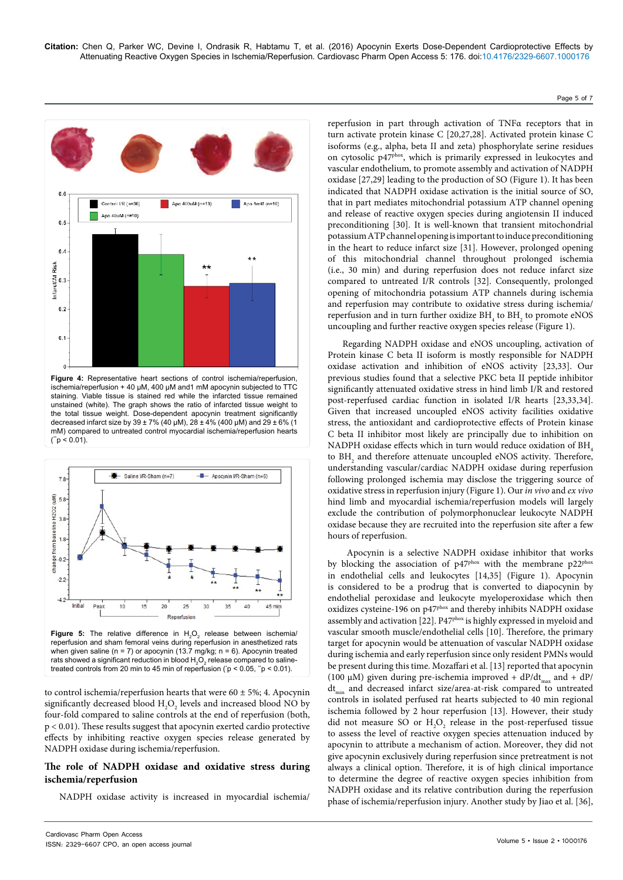Page 5 of 7



**Figure 4:** Representative heart sections of control ischemia/reperfusion, ischemia/reperfusion + 40 µM, 400 µM and1 mM apocynin subjected to TTC staining. Viable tissue is stained red while the infarcted tissue remained unstained (white). The graph shows the ratio of infarcted tissue weight to the total tissue weight. Dose-dependent apocynin treatment significantly decreased infarct size by 39 ± 7% (40 µM), 28 ± 4% (400 µM) and 29 ± 6% (1 mM) compared to untreated control myocardial ischemia/reperfusion hearts  $("p < 0.01).$ 



**Figure 5:** The relative difference in  $H_2O_2$  release between ischemia/ reperfusion and sham femoral veins during reperfusion in anesthetized rats when given saline ( $n = 7$ ) or apocynin (13.7 mg/kg;  $n = 6$ ). Apocynin treated rats showed a significant reduction in blood  $\mathsf{H}_{\scriptscriptstyle{2}}\mathsf{O}_{\scriptscriptstyle{2}}$  release compared to salinetreated controls from 20 min to 45 min of reperfusion ( $p < 0.05$ ,  $p < 0.01$ ).

to control ischemia/reperfusion hearts that were  $60 \pm 5\%$ ; 4. Apocynin significantly decreased blood  $\mathrm{H}_{2}\mathrm{O}_{2}$  levels and increased blood NO by four-fold compared to saline controls at the end of reperfusion (both, p < 0.01). These results suggest that apocynin exerted cardio protective effects by inhibiting reactive oxygen species release generated by NADPH oxidase during ischemia/reperfusion.

## **The role of NADPH oxidase and oxidative stress during ischemia/reperfusion**

NADPH oxidase activity is increased in myocardial ischemia/

reperfusion in part through activation of TNFα receptors that in turn activate protein kinase C [20,27,28]. Activated protein kinase C isoforms (e.g., alpha, beta II and zeta) phosphorylate serine residues on cytosolic p47<sup>phox</sup>, which is primarily expressed in leukocytes and vascular endothelium, to promote assembly and activation of NADPH oxidase [27,29] leading to the production of SO (Figure 1). It has been indicated that NADPH oxidase activation is the initial source of SO, that in part mediates mitochondrial potassium ATP channel opening and release of reactive oxygen species during angiotensin II induced preconditioning [30]. It is well-known that transient mitochondrial potassium ATP channel opening is important to induce preconditioning in the heart to reduce infarct size [31]. However, prolonged opening of this mitochondrial channel throughout prolonged ischemia (i.e., 30 min) and during reperfusion does not reduce infarct size compared to untreated I/R controls [32]. Consequently, prolonged opening of mitochondria potassium ATP channels during ischemia and reperfusion may contribute to oxidative stress during ischemia/ reperfusion and in turn further oxidize  $\rm BH_{_4}$  to  $\rm BH_{_2}$  to promote eNOS uncoupling and further reactive oxygen species release (Figure 1).

Regarding NADPH oxidase and eNOS uncoupling, activation of Protein kinase C beta II isoform is mostly responsible for NADPH oxidase activation and inhibition of eNOS activity [23,33]. Our previous studies found that a selective PKC beta II peptide inhibitor significantly attenuated oxidative stress in hind limb I/R and restored post-reperfused cardiac function in isolated I/R hearts [23,33,34]. Given that increased uncoupled eNOS activity facilities oxidative stress, the antioxidant and cardioprotective effects of Protein kinase C beta II inhibitor most likely are principally due to inhibition on NADPH oxidase effects which in turn would reduce oxidation of BH. to  $BH<sub>2</sub>$  and therefore attenuate uncoupled eNOS activity. Therefore, understanding vascular/cardiac NADPH oxidase during reperfusion following prolonged ischemia may disclose the triggering source of oxidative stress in reperfusion injury (Figure 1). Our *in vivo* and *ex vivo* hind limb and myocardial ischemia/reperfusion models will largely exclude the contribution of polymorphonuclear leukocyte NADPH oxidase because they are recruited into the reperfusion site after a few hours of reperfusion.

 Apocynin is a selective NADPH oxidase inhibitor that works by blocking the association of p47<sup>phox</sup> with the membrane p22<sup>phox</sup> in endothelial cells and leukocytes [14,35] (Figure 1). Apocynin is considered to be a prodrug that is converted to diapocynin by endothelial peroxidase and leukocyte myeloperoxidase which then oxidizes cysteine-196 on p47<sup>phox</sup> and thereby inhibits NADPH oxidase assembly and activation [22]. P47<sup>phox</sup> is highly expressed in myeloid and vascular smooth muscle/endothelial cells [10]. Therefore, the primary target for apocynin would be attenuation of vascular NADPH oxidase during ischemia and early reperfusion since only resident PMNs would be present during this time. Mozaffari et al. [13] reported that apocynin (100 μM) given during pre-ischemia improved +  $dP/dt_{max}$  and +  $dP/dt_{max}$ dt<sub>min</sub> and decreased infarct size/area-at-risk compared to untreated controls in isolated perfused rat hearts subjected to 40 min regional ischemia followed by 2 hour reperfusion [13]. However, their study did not measure SO or  $H_2O_2$  release in the post-reperfused tissue to assess the level of reactive oxygen species attenuation induced by apocynin to attribute a mechanism of action. Moreover, they did not give apocynin exclusively during reperfusion since pretreatment is not always a clinical option. Therefore, it is of high clinical importance to determine the degree of reactive oxygen species inhibition from NADPH oxidase and its relative contribution during the reperfusion phase of ischemia/reperfusion injury. Another study by Jiao et al. [36],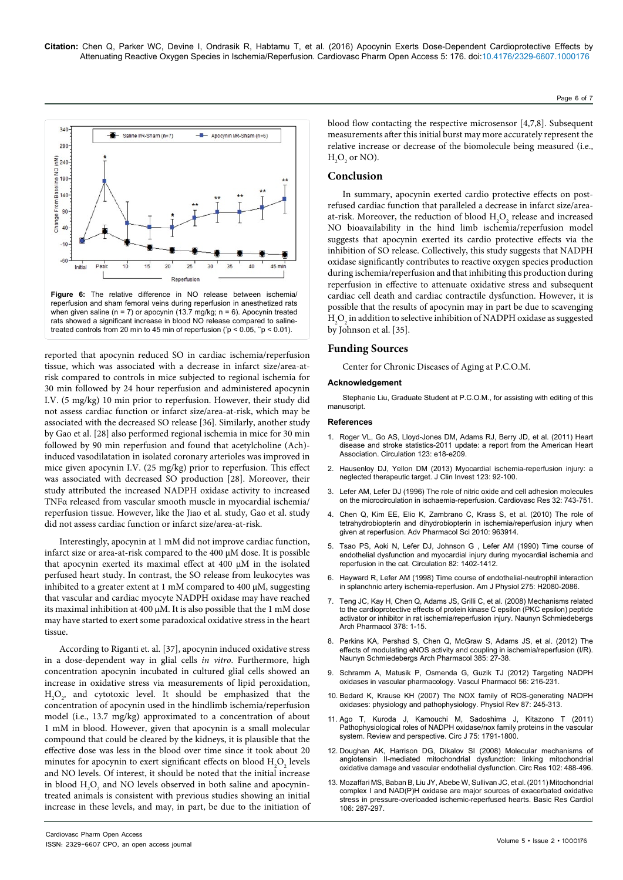**Citation:** Chen Q, Parker WC, Devine I, Ondrasik R, Habtamu T, et al. (2016) Apocynin Exerts Dose-Dependent Cardioprotective Effects by Attenuating Reactive Oxygen Species in Ischemia/Reperfusion. Cardiovasc Pharm Open Access 5: 176. doi:10.4176/2329-6607.1000176





reported that apocynin reduced SO in cardiac ischemia/reperfusion tissue, which was associated with a decrease in infarct size/area-atrisk compared to controls in mice subjected to regional ischemia for 30 min followed by 24 hour reperfusion and administered apocynin I.V. (5 mg/kg) 10 min prior to reperfusion. However, their study did not assess cardiac function or infarct size/area-at-risk, which may be associated with the decreased SO release [36]. Similarly, another study by Gao et al. [28] also performed regional ischemia in mice for 30 min followed by 90 min reperfusion and found that acetylcholine (Ach) induced vasodilatation in isolated coronary arterioles was improved in mice given apocynin I.V. (25 mg/kg) prior to reperfusion. This effect was associated with decreased SO production [28]. Moreover, their study attributed the increased NADPH oxidase activity to increased TNFα released from vascular smooth muscle in myocardial ischemia/ reperfusion tissue. However, like the Jiao et al. study, Gao et al. study did not assess cardiac function or infarct size/area-at-risk.

Interestingly, apocynin at 1 mM did not improve cardiac function, infarct size or area-at-risk compared to the 400 μM dose. It is possible that apocynin exerted its maximal effect at 400 μM in the isolated perfused heart study. In contrast, the SO release from leukocytes was inhibited to a greater extent at 1 mM compared to 400 μM, suggesting that vascular and cardiac myocyte NADPH oxidase may have reached its maximal inhibition at 400 μM. It is also possible that the 1 mM dose may have started to exert some paradoxical oxidative stress in the heart tissue.

According to Riganti et. al. [37], apocynin induced oxidative stress in a dose-dependent way in glial cells *in vitro*. Furthermore, high concentration apocynin incubated in cultured glial cells showed an increase in oxidative stress via measurements of lipid peroxidation,  $H_2O_2$ , and cytotoxic level. It should be emphasized that the concentration of apocynin used in the hindlimb ischemia/reperfusion model (i.e., 13.7 mg/kg) approximated to a concentration of about 1 mM in blood. However, given that apocynin is a small molecular compound that could be cleared by the kidneys, it is plausible that the effective dose was less in the blood over time since it took about 20 minutes for apocynin to exert significant effects on blood  $H_2O_2$  levels and NO levels. Of interest, it should be noted that the initial increase in blood  $\mathrm{H}_{\scriptscriptstyle 2}\mathrm{O}_{\scriptscriptstyle 2}$  and NO levels observed in both saline and apocynintreated animals is consistent with previous studies showing an initial increase in these levels, and may, in part, be due to the initiation of

 $H_2O_2$  or NO). **Conclusion** In summary, apocynin exerted cardio protective effects on postrefused cardiac function that paralleled a decrease in infarct size/area-

at-risk. Moreover, the reduction of blood  $H_2O_2$  release and increased NO bioavailability in the hind limb ischemia/reperfusion model suggests that apocynin exerted its cardio protective effects via the inhibition of SO release. Collectively, this study suggests that NADPH oxidase significantly contributes to reactive oxygen species production during ischemia/reperfusion and that inhibiting this production during reperfusion in effective to attenuate oxidative stress and subsequent cardiac cell death and cardiac contractile dysfunction. However, it is possible that the results of apocynin may in part be due to scavenging  $_{\rm H_2O_2}$  in addition to selective inhibition of NADPH oxidase as suggested by Johnson et al. [35].

blood flow contacting the respective microsensor [4,7,8]. Subsequent measurements after this initial burst may more accurately represent the relative increase or decrease of the biomolecule being measured (i.e.,

#### **Funding Sources**

Center for Chronic Diseases of Aging at P.C.O.M.

#### **Acknowledgement**

Stephanie Liu, Graduate Student at P.C.O.M., for assisting with editing of this manuscript.

#### **References**

- 1. [Roger VL, Go AS, Lloyd-Jones DM, Adams RJ, Berry JD, et al. \(2011\) Heart](http://www.ncbi.nlm.nih.gov/pubmed/21160056)  [disease and stroke statistics-2011 update: a report from the American Heart](http://www.ncbi.nlm.nih.gov/pubmed/21160056)  [Association. Circulation 123: e18-e209.](http://www.ncbi.nlm.nih.gov/pubmed/21160056)
- 2. [Hausenloy DJ, Yellon DM \(2013\) Myocardial ischemia-reperfusion injury: a](http://www.ncbi.nlm.nih.gov/pubmed/23281415)  [neglected therapeutic target. J Clin Invest 123: 92-100.](http://www.ncbi.nlm.nih.gov/pubmed/23281415)
- 3. [Lefer AM, Lefer DJ \(1996\) The role of nitric oxide and cell adhesion molecules](http://www.ncbi.nlm.nih.gov/pubmed/8915192)  [on the microcirculation in ischaemia-reperfusion. Cardiovasc Res 32: 743-751.](http://www.ncbi.nlm.nih.gov/pubmed/8915192)
- 4. [Chen Q, Kim EE, Elio K, Zambrano C, Krass S, et al. \(2010\) The role of](http://www.ncbi.nlm.nih.gov/pubmed/21188246)  [tetrahydrobiopterin and dihydrobiopterin in ischemia/reperfusion injury when](http://www.ncbi.nlm.nih.gov/pubmed/21188246)  [given at reperfusion. Adv Pharmacol Sci 2010: 963914.](http://www.ncbi.nlm.nih.gov/pubmed/21188246)
- 5. [Tsao PS, Aoki N, Lefer DJ, Johnson G , Lefer AM \(1990\) Time course of](http://www.ncbi.nlm.nih.gov/pubmed/2401073)  [endothelial dysfunction and myocardial injury during myocardial ischemia and](http://www.ncbi.nlm.nih.gov/pubmed/2401073)  [reperfusion in the cat. Circulation 82: 1402-1412.](http://www.ncbi.nlm.nih.gov/pubmed/2401073)
- 6. [Hayward R, Lefer AM \(1998\) Time course of endothelial-neutrophil interaction](http://www.ncbi.nlm.nih.gov/pubmed/9843807)  [in splanchnic artery ischemia-reperfusion. Am J Physiol 275: H2080-2086.](http://www.ncbi.nlm.nih.gov/pubmed/9843807)
- 7. [Teng JC, Kay H, Chen Q, Adams JS, Grilli C, et al. \(2008\) Mechanisms related](http://www.ncbi.nlm.nih.gov/pubmed/18496674)  [to the cardioprotective effects of protein kinase C epsilon \(PKC epsilon\) peptide](http://www.ncbi.nlm.nih.gov/pubmed/18496674)  [activator or inhibitor in rat ischemia/reperfusion injury. Naunyn Schmiedebergs](http://www.ncbi.nlm.nih.gov/pubmed/18496674)  [Arch Pharmacol 378: 1-15.](http://www.ncbi.nlm.nih.gov/pubmed/18496674)
- 8. [Perkins KA, Pershad S, Chen Q, McGraw S, Adams JS, et al. \(2012\) The](http://www.ncbi.nlm.nih.gov/pubmed/21947254)  [effects of modulating eNOS activity and coupling in ischemia/reperfusion \(I/R\).](http://www.ncbi.nlm.nih.gov/pubmed/21947254)  [Naunyn Schmiedebergs Arch Pharmacol 385: 27-38.](http://www.ncbi.nlm.nih.gov/pubmed/21947254)
- 9. [Schramm A, Matusik P, Osmenda G, Guzik TJ \(2012\) Targeting NADPH](http://www.ncbi.nlm.nih.gov/pubmed/22405985)  [oxidases in vascular pharmacology. Vascul Pharmacol 56: 216-231.](http://www.ncbi.nlm.nih.gov/pubmed/22405985)
- 10. [Bedard K, Krause KH \(2007\) The NOX family of ROS-generating NADPH](http://www.ncbi.nlm.nih.gov/pubmed/17237347)  [oxidases: physiology and pathophysiology. Physiol Rev 87: 245-313.](http://www.ncbi.nlm.nih.gov/pubmed/17237347)
- 11. [Ago T, Kuroda J, Kamouchi M, Sadoshima J, Kitazono T \(2011\)](http://www.ncbi.nlm.nih.gov/pubmed/21673456)  [Pathophysiological roles of NADPH oxidase/nox family proteins in the vascular](http://www.ncbi.nlm.nih.gov/pubmed/21673456)  [system. Review and perspective. Circ J 75: 1791-1800.](http://www.ncbi.nlm.nih.gov/pubmed/21673456)
- 12. [Doughan AK, Harrison DG, Dikalov SI \(2008\) Molecular mechanisms of](http://www.ncbi.nlm.nih.gov/pubmed/18096818)  [angiotensin II-mediated mitochondrial dysfunction: linking mitochondrial](http://www.ncbi.nlm.nih.gov/pubmed/18096818)  [oxidative damage and vascular endothelial dysfunction. Circ Res 102: 488-496.](http://www.ncbi.nlm.nih.gov/pubmed/18096818)
- 13. [Mozaffari MS, Baban B, Liu JY, Abebe W, Sullivan JC, et al. \(2011\) Mitochondrial](http://www.ncbi.nlm.nih.gov/pubmed/21246205)  [complex I and NAD\(P\)H oxidase are major sources of exacerbated oxidative](http://www.ncbi.nlm.nih.gov/pubmed/21246205)  [stress in pressure-overloaded ischemic-reperfused hearts. Basic Res Cardiol](http://www.ncbi.nlm.nih.gov/pubmed/21246205)  [106: 287-297.](http://www.ncbi.nlm.nih.gov/pubmed/21246205)